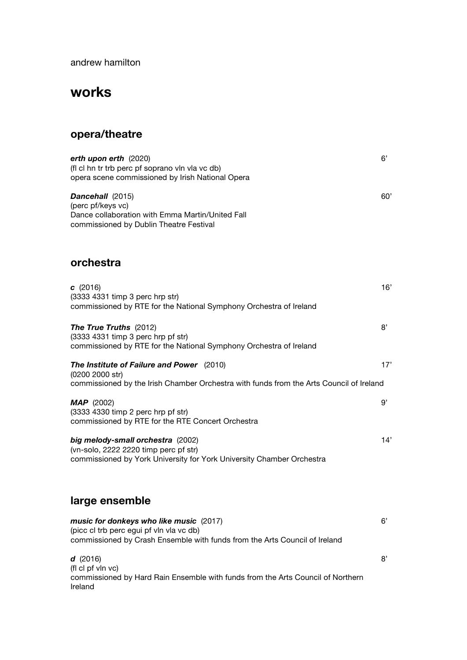andrew hamilton

# **works**

## **opera/theatre**

| erth upon erth (2020)<br>(fl cl hn tr trb perc pf soprano vln vla vc db)<br>opera scene commissioned by Irish National Opera                                      | 6'  |
|-------------------------------------------------------------------------------------------------------------------------------------------------------------------|-----|
| Dancehall (2015)<br>(perc pf/keys vc)<br>Dance collaboration with Emma Martin/United Fall<br>commissioned by Dublin Theatre Festival                              | 60' |
| orchestra                                                                                                                                                         |     |
| c(2016)<br>(3333 4331 timp 3 perc hrp str)<br>commissioned by RTE for the National Symphony Orchestra of Ireland                                                  | 16' |
| The True Truths (2012)<br>(3333 4331 timp 3 perc hrp pf str)<br>commissioned by RTE for the National Symphony Orchestra of Ireland                                | 8'  |
| The Institute of Failure and Power (2010)<br>(0200 2000 str)<br>commissioned by the Irish Chamber Orchestra with funds from the Arts Council of Ireland           | 17' |
| $MAP$ (2002)<br>(3333 4330 timp 2 perc hrp pf str)<br>commissioned by RTE for the RTE Concert Orchestra                                                           | 9'  |
| big melody-small orchestra (2002)<br>(vn-solo, 2222 2220 timp perc pf str)<br>commissioned by York University for York University Chamber Orchestra               | 14' |
| large ensemble                                                                                                                                                    |     |
| music for donkeys who like music (2017)<br>(picc cl trb perc egui pf vln vla vc db)<br>commissioned by Crash Ensemble with funds from the Arts Council of Ireland | 6'  |
| d(2016)<br>$f $ of $f$ $y p$ $y$ o)                                                                                                                               | 8'  |

(fl cl pf vln vc) commissioned by Hard Rain Ensemble with funds from the Arts Council of Northern Ireland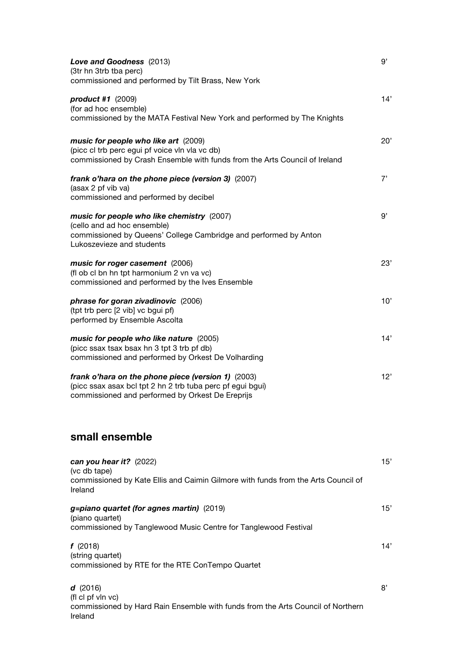| Love and Goodness (2013)<br>(3tr hn 3trb tba perc)                                                                                                                         | 9'  |
|----------------------------------------------------------------------------------------------------------------------------------------------------------------------------|-----|
| commissioned and performed by Tilt Brass, New York                                                                                                                         |     |
| product #1 (2009)<br>(for ad hoc ensemble)<br>commissioned by the MATA Festival New York and performed by The Knights                                                      | 14' |
| music for people who like art (2009)<br>(picc cl trb perc egui pf voice vln vla vc db)<br>commissioned by Crash Ensemble with funds from the Arts Council of Ireland       | 20' |
| frank o'hara on the phone piece (version 3) (2007)<br>(asax 2 pf vib va)<br>commissioned and performed by decibel                                                          | 7'  |
| music for people who like chemistry (2007)<br>(cello and ad hoc ensemble)<br>commissioned by Queens' College Cambridge and performed by Anton<br>Lukoszevieze and students | 9'  |
| music for roger casement (2006)<br>(fl ob cl bn hn tpt harmonium 2 vn va vc)<br>commissioned and performed by the Ives Ensemble                                            | 23' |
| phrase for goran zivadinovic (2006)<br>(tpt trb perc [2 vib] vc bgui pf)<br>performed by Ensemble Ascolta                                                                  | 10' |
| music for people who like nature (2005)<br>(picc ssax tsax bsax hn 3 tpt 3 trb pf db)<br>commissioned and performed by Orkest De Volharding                                | 14' |
| frank o'hara on the phone piece (version 1) (2003)<br>(picc ssax asax bcl tpt 2 hn 2 trb tuba perc pf egui bgui)<br>commissioned and performed by Orkest De Ereprijs       | 12' |
| small ensemble                                                                                                                                                             |     |
| can you hear it? $(2022)$<br>(vc db tape)<br>commissioned by Kate Ellis and Caimin Gilmore with funds from the Arts Council of<br>Ireland                                  | 15' |
| g=piano quartet (for agnes martin) (2019)<br>(piano quartet)<br>commissioned by Tanglewood Music Centre for Tanglewood Festival                                            | 15' |
| f(2018)<br>(string quartet)<br>commissioned by RTE for the RTE ConTempo Quartet                                                                                            | 14' |
| d(2016)<br>(fl cl pf vln vc)<br>commissioned by Hard Rain Ensemble with funds from the Arts Council of Northern<br>Ireland                                                 | 8'  |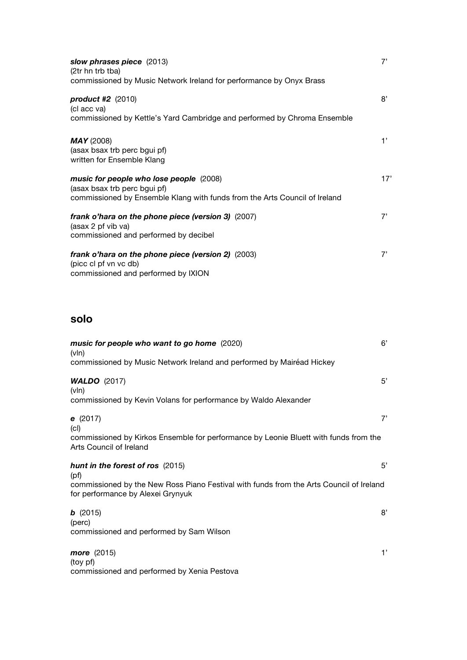| slow phrases piece (2013)<br>(2tr hn trb tba)                                                                                                         | 7'  |
|-------------------------------------------------------------------------------------------------------------------------------------------------------|-----|
| commissioned by Music Network Ireland for performance by Onyx Brass                                                                                   |     |
| product #2 (2010)<br>(cl acc va)<br>commissioned by Kettle's Yard Cambridge and performed by Chroma Ensemble                                          | 8'  |
| <b>MAY</b> (2008)<br>(asax bsax trb perc bgui pf)<br>written for Ensemble Klang                                                                       | 1'  |
| music for people who lose people (2008)<br>(asax bsax trb perc bgui pf)<br>commissioned by Ensemble Klang with funds from the Arts Council of Ireland | 17' |
| frank o'hara on the phone piece (version 3) (2007)<br>(asax 2 pf vib va)<br>commissioned and performed by decibel                                     | 7'  |
| frank o'hara on the phone piece (version 2) (2003)<br>(picc cl pf vn vc db)<br>commissioned and performed by IXION                                    | 7'  |

### **solo**

| music for people who want to go home (2020)<br>$(v \ln)$                                                                     | 6' |
|------------------------------------------------------------------------------------------------------------------------------|----|
| commissioned by Music Network Ireland and performed by Mairéad Hickey                                                        |    |
| <b>WALDO</b> (2017)<br>$(v \ln)$                                                                                             | 5' |
| commissioned by Kevin Volans for performance by Waldo Alexander                                                              |    |
| e(2017)<br> c                                                                                                                | 7' |
| commissioned by Kirkos Ensemble for performance by Leonie Bluett with funds from the<br>Arts Council of Ireland              |    |
| hunt in the forest of ros (2015)<br>(pt)                                                                                     | 5' |
| commissioned by the New Ross Piano Festival with funds from the Arts Council of Ireland<br>for performance by Alexei Grynyuk |    |
| b(2015)<br>(perc)                                                                                                            | 8' |
| commissioned and performed by Sam Wilson                                                                                     |    |
| more (2015)<br>(toy pf)                                                                                                      | 1' |
| commissioned and performed by Xenia Pestova                                                                                  |    |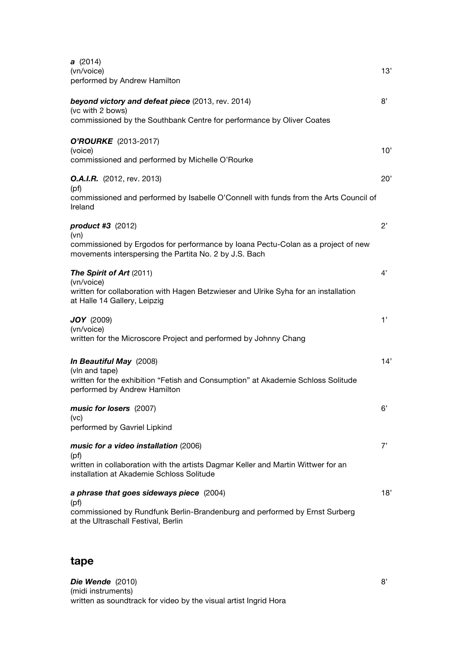| <b>a</b> (2014)<br>(vn/voice)<br>performed by Andrew Hamilton                                                                                                                   | 13'          |
|---------------------------------------------------------------------------------------------------------------------------------------------------------------------------------|--------------|
| beyond victory and defeat piece (2013, rev. 2014)<br>(vc with 2 bows)<br>commissioned by the Southbank Centre for performance by Oliver Coates                                  | 8'           |
| O'ROURKE (2013-2017)<br>(voice)<br>commissioned and performed by Michelle O'Rourke                                                                                              | 10'          |
| <b>O.A.I.R.</b> (2012, rev. 2013)<br>(pf)<br>commissioned and performed by Isabelle O'Connell with funds from the Arts Council of<br>Ireland                                    | 20'          |
| <b>product #3</b> (2012)<br>(vn)                                                                                                                                                | $2^{\prime}$ |
| commissioned by Ergodos for performance by Ioana Pectu-Colan as a project of new<br>movements interspersing the Partita No. 2 by J.S. Bach                                      |              |
| The Spirit of Art (2011)<br>(vn/voice)<br>written for collaboration with Hagen Betzwieser and Ulrike Syha for an installation<br>at Halle 14 Gallery, Leipzig                   | 4'           |
| <b>JOY</b> (2009)<br>(vn/voice)<br>written for the Microscore Project and performed by Johnny Chang                                                                             | 1'           |
| <b>In Beautiful May</b> (2008)<br>(vln and tape)<br>written for the exhibition "Fetish and Consumption" at Akademie Schloss Solitude<br>performed by Andrew Hamilton            | 14'          |
| music for losers (2007)<br>(vc)<br>performed by Gavriel Lipkind                                                                                                                 | 6'           |
| music for a video installation (2006)<br>(pf)<br>written in collaboration with the artists Dagmar Keller and Martin Wittwer for an<br>installation at Akademie Schloss Solitude | 7'           |
| a phrase that goes sideways piece (2004)<br>(pf)<br>commissioned by Rundfunk Berlin-Brandenburg and performed by Ernst Surberg<br>at the Ultraschall Festival, Berlin           | 18'          |

### **tape**

**Die Wende** (2010) 8' (midi instruments) written as soundtrack for video by the visual artist Ingrid Hora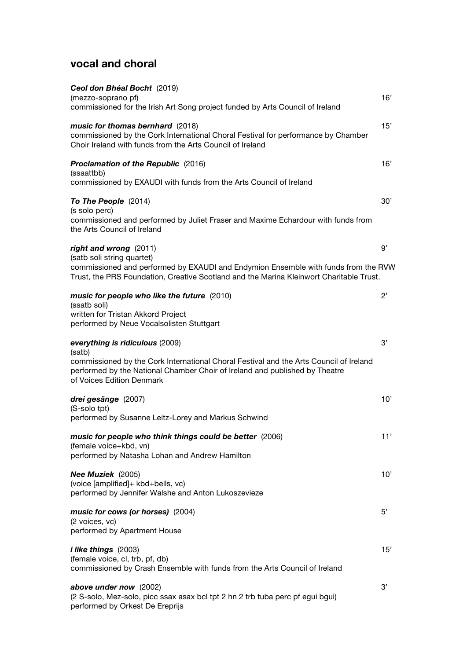## **vocal and choral**

| Ceol don Bhéal Bocht (2019)<br>(mezzo-soprano pf)<br>commissioned for the Irish Art Song project funded by Arts Council of Ireland                                                                 | 16' |
|----------------------------------------------------------------------------------------------------------------------------------------------------------------------------------------------------|-----|
| music for thomas bernhard (2018)<br>commissioned by the Cork International Choral Festival for performance by Chamber<br>Choir Ireland with funds from the Arts Council of Ireland                 | 15' |
| <b>Proclamation of the Republic (2016)</b><br>(ssaattbb)                                                                                                                                           | 16' |
| commissioned by EXAUDI with funds from the Arts Council of Ireland                                                                                                                                 |     |
| To The People (2014)<br>(s solo perc)<br>commissioned and performed by Juliet Fraser and Maxime Echardour with funds from                                                                          | 30' |
| the Arts Council of Ireland                                                                                                                                                                        |     |
| right and wrong (2011)<br>(satb soli string quartet)                                                                                                                                               | 9'  |
| commissioned and performed by EXAUDI and Endymion Ensemble with funds from the RVW<br>Trust, the PRS Foundation, Creative Scotland and the Marina Kleinwort Charitable Trust.                      |     |
| music for people who like the future (2010)<br>(ssatb soli)<br>written for Tristan Akkord Project                                                                                                  | 2'  |
| performed by Neue Vocalsolisten Stuttgart                                                                                                                                                          |     |
| everything is ridiculous (2009)<br>(satb)                                                                                                                                                          | 3'  |
| commissioned by the Cork International Choral Festival and the Arts Council of Ireland<br>performed by the National Chamber Choir of Ireland and published by Theatre<br>of Voices Edition Denmark |     |
| drei gesänge (2007)<br>(S-solo tpt)                                                                                                                                                                | 10' |
| performed by Susanne Leitz-Lorey and Markus Schwind                                                                                                                                                |     |
| music for people who think things could be better (2006)<br>(female voice+kbd, vn)                                                                                                                 | 11' |
| performed by Natasha Lohan and Andrew Hamilton                                                                                                                                                     |     |
| Nee Muziek (2005)<br>(voice [amplified]+ kbd+bells, vc)<br>performed by Jennifer Walshe and Anton Lukoszevieze                                                                                     | 10' |
| music for cows (or horses) (2004)                                                                                                                                                                  | 5'  |
| (2 voices, vc)<br>performed by Apartment House                                                                                                                                                     |     |
| <i>i like things</i> (2003)                                                                                                                                                                        | 15' |
| (female voice, cl, trb, pf, db)<br>commissioned by Crash Ensemble with funds from the Arts Council of Ireland                                                                                      |     |
| above under now (2002)<br>(2 S-solo, Mez-solo, picc ssax asax bcl tpt 2 hn 2 trb tuba perc pf egui bgui)<br>performed by Orkest De Ereprijs                                                        | 3'  |